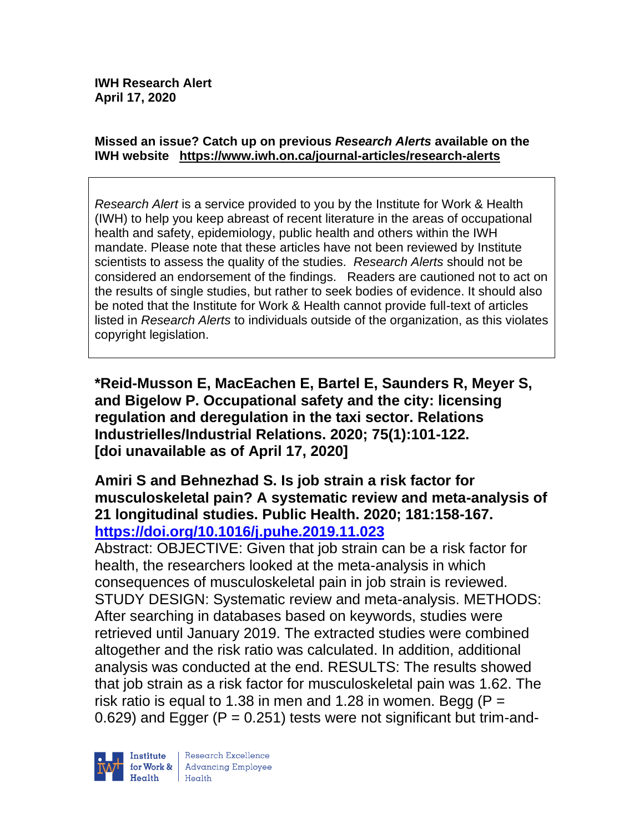#### **Missed an issue? Catch up on previous** *Research Alerts* **available on the [IWH website](http://www.iwh.on.ca/research-alerts) <https://www.iwh.on.ca/journal-articles/research-alerts>**

*Research Alert* is a service provided to you by the Institute for Work & Health (IWH) to help you keep abreast of recent literature in the areas of occupational health and safety, epidemiology, public health and others within the IWH mandate. Please note that these articles have not been reviewed by Institute scientists to assess the quality of the studies. *Research Alerts* should not be considered an endorsement of the findings. Readers are cautioned not to act on the results of single studies, but rather to seek bodies of evidence. It should also be noted that the Institute for Work & Health cannot provide full-text of articles listed in *Research Alerts* to individuals outside of the organization, as this violates copyright legislation.

**\*Reid-Musson E, MacEachen E, Bartel E, Saunders R, Meyer S, and Bigelow P. Occupational safety and the city: licensing regulation and deregulation in the taxi sector. Relations Industrielles/Industrial Relations. 2020; 75(1):101-122. [doi unavailable as of April 17, 2020]**

### **Amiri S and Behnezhad S. Is job strain a risk factor for musculoskeletal pain? A systematic review and meta-analysis of 21 longitudinal studies. Public Health. 2020; 181:158-167. <https://doi.org/10.1016/j.puhe.2019.11.023>**

Abstract: OBJECTIVE: Given that job strain can be a risk factor for health, the researchers looked at the meta-analysis in which consequences of musculoskeletal pain in job strain is reviewed. STUDY DESIGN: Systematic review and meta-analysis. METHODS: After searching in databases based on keywords, studies were retrieved until January 2019. The extracted studies were combined altogether and the risk ratio was calculated. In addition, additional analysis was conducted at the end. RESULTS: The results showed that job strain as a risk factor for musculoskeletal pain was 1.62. The risk ratio is equal to 1.38 in men and 1.28 in women. Begg ( $P =$ 0.629) and Egger ( $P = 0.251$ ) tests were not significant but trim-and-

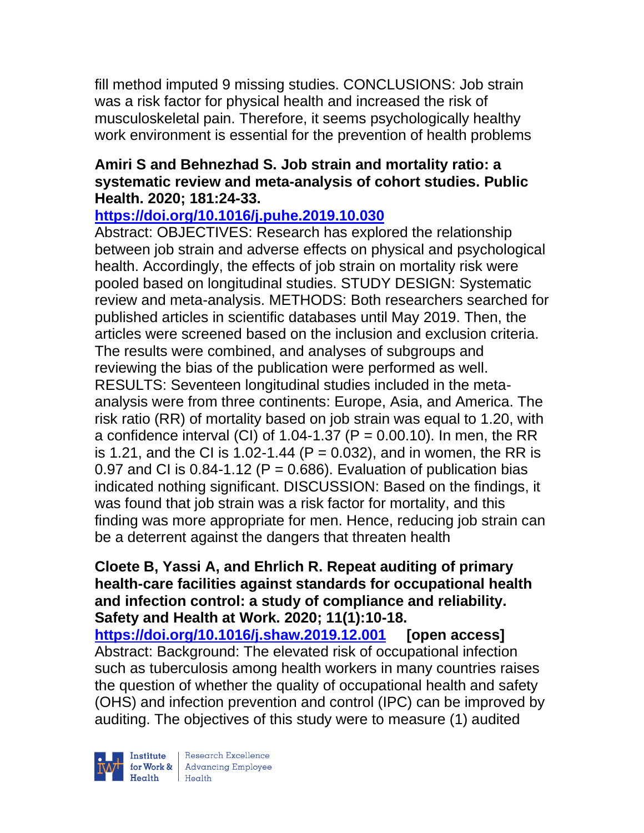fill method imputed 9 missing studies. CONCLUSIONS: Job strain was a risk factor for physical health and increased the risk of musculoskeletal pain. Therefore, it seems psychologically healthy work environment is essential for the prevention of health problems

# **Amiri S and Behnezhad S. Job strain and mortality ratio: a systematic review and meta-analysis of cohort studies. Public Health. 2020; 181:24-33.**

# **<https://doi.org/10.1016/j.puhe.2019.10.030>**

Abstract: OBJECTIVES: Research has explored the relationship between job strain and adverse effects on physical and psychological health. Accordingly, the effects of job strain on mortality risk were pooled based on longitudinal studies. STUDY DESIGN: Systematic review and meta-analysis. METHODS: Both researchers searched for published articles in scientific databases until May 2019. Then, the articles were screened based on the inclusion and exclusion criteria. The results were combined, and analyses of subgroups and reviewing the bias of the publication were performed as well. RESULTS: Seventeen longitudinal studies included in the metaanalysis were from three continents: Europe, Asia, and America. The risk ratio (RR) of mortality based on job strain was equal to 1.20, with a confidence interval (CI) of 1.04-1.37 (P =  $0.00.10$ ). In men, the RR is 1.21, and the CI is 1.02-1.44 ( $P = 0.032$ ), and in women, the RR is 0.97 and CI is  $0.84$ -1.12 (P = 0.686). Evaluation of publication bias indicated nothing significant. DISCUSSION: Based on the findings, it was found that job strain was a risk factor for mortality, and this finding was more appropriate for men. Hence, reducing job strain can be a deterrent against the dangers that threaten health

**Cloete B, Yassi A, and Ehrlich R. Repeat auditing of primary health-care facilities against standards for occupational health and infection control: a study of compliance and reliability. Safety and Health at Work. 2020; 11(1):10-18. <https://doi.org/10.1016/j.shaw.2019.12.001> [open access]** Abstract: Background: The elevated risk of occupational infection such as tuberculosis among health workers in many countries raises the question of whether the quality of occupational health and safety (OHS) and infection prevention and control (IPC) can be improved by auditing. The objectives of this study were to measure (1) audited



| Research Excellence for Work & Advancing Employee<br>Health Health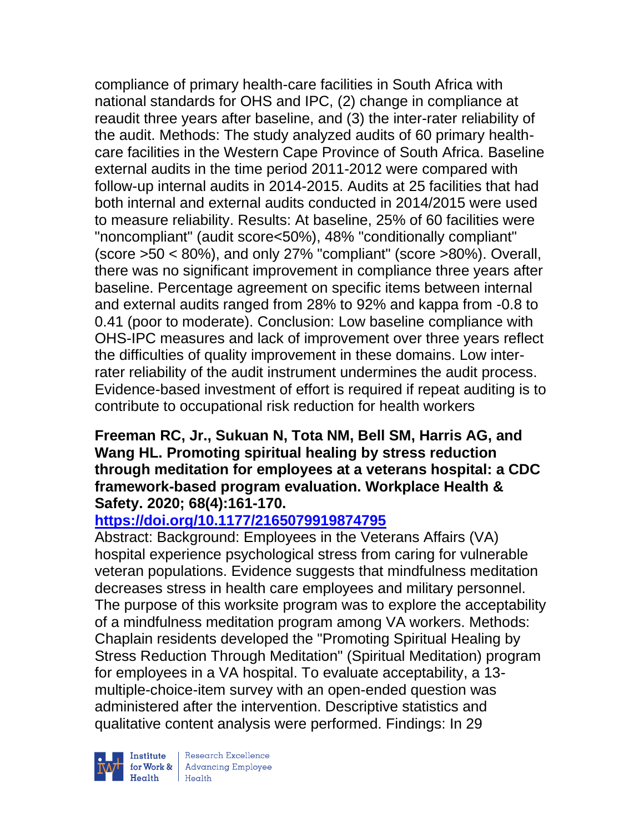compliance of primary health-care facilities in South Africa with national standards for OHS and IPC, (2) change in compliance at reaudit three years after baseline, and (3) the inter-rater reliability of the audit. Methods: The study analyzed audits of 60 primary healthcare facilities in the Western Cape Province of South Africa. Baseline external audits in the time period 2011-2012 were compared with follow-up internal audits in 2014-2015. Audits at 25 facilities that had both internal and external audits conducted in 2014/2015 were used to measure reliability. Results: At baseline, 25% of 60 facilities were "noncompliant" (audit score<50%), 48% "conditionally compliant" (score >50 < 80%), and only 27% "compliant" (score >80%). Overall, there was no significant improvement in compliance three years after baseline. Percentage agreement on specific items between internal and external audits ranged from 28% to 92% and kappa from -0.8 to 0.41 (poor to moderate). Conclusion: Low baseline compliance with OHS-IPC measures and lack of improvement over three years reflect the difficulties of quality improvement in these domains. Low interrater reliability of the audit instrument undermines the audit process. Evidence-based investment of effort is required if repeat auditing is to contribute to occupational risk reduction for health workers

### **Freeman RC, Jr., Sukuan N, Tota NM, Bell SM, Harris AG, and Wang HL. Promoting spiritual healing by stress reduction through meditation for employees at a veterans hospital: a CDC framework-based program evaluation. Workplace Health & Safety. 2020; 68(4):161-170.**

# **<https://doi.org/10.1177/2165079919874795>**

Abstract: Background: Employees in the Veterans Affairs (VA) hospital experience psychological stress from caring for vulnerable veteran populations. Evidence suggests that mindfulness meditation decreases stress in health care employees and military personnel. The purpose of this worksite program was to explore the acceptability of a mindfulness meditation program among VA workers. Methods: Chaplain residents developed the "Promoting Spiritual Healing by Stress Reduction Through Meditation" (Spiritual Meditation) program for employees in a VA hospital. To evaluate acceptability, a 13 multiple-choice-item survey with an open-ended question was administered after the intervention. Descriptive statistics and qualitative content analysis were performed. Findings: In 29



Institute Research Excellence<br>
for Work & Advancing Employee<br>
Health Health | Research Excellence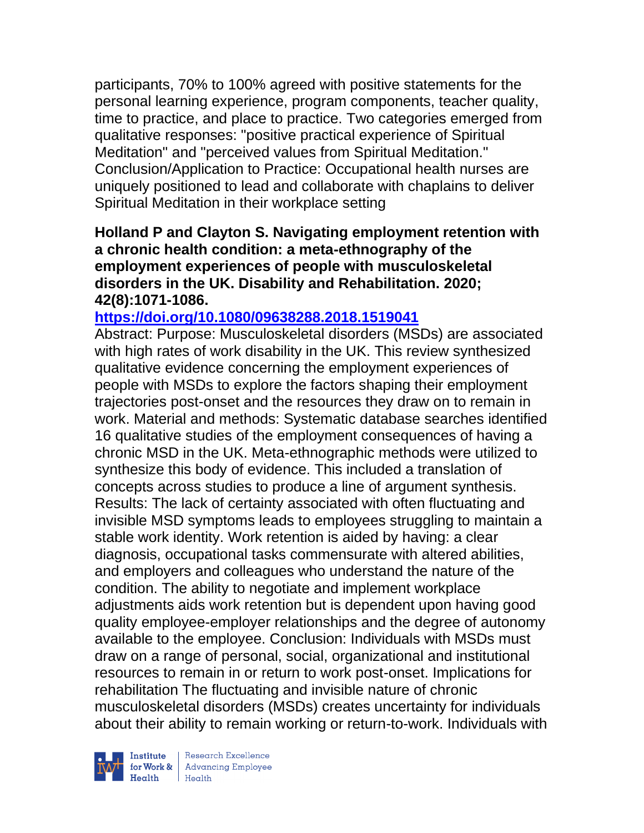participants, 70% to 100% agreed with positive statements for the personal learning experience, program components, teacher quality, time to practice, and place to practice. Two categories emerged from qualitative responses: "positive practical experience of Spiritual Meditation" and "perceived values from Spiritual Meditation." Conclusion/Application to Practice: Occupational health nurses are uniquely positioned to lead and collaborate with chaplains to deliver Spiritual Meditation in their workplace setting

**Holland P and Clayton S. Navigating employment retention with a chronic health condition: a meta-ethnography of the employment experiences of people with musculoskeletal disorders in the UK. Disability and Rehabilitation. 2020; 42(8):1071-1086.** 

## **<https://doi.org/10.1080/09638288.2018.1519041>**

Abstract: Purpose: Musculoskeletal disorders (MSDs) are associated with high rates of work disability in the UK. This review synthesized qualitative evidence concerning the employment experiences of people with MSDs to explore the factors shaping their employment trajectories post-onset and the resources they draw on to remain in work. Material and methods: Systematic database searches identified 16 qualitative studies of the employment consequences of having a chronic MSD in the UK. Meta-ethnographic methods were utilized to synthesize this body of evidence. This included a translation of concepts across studies to produce a line of argument synthesis. Results: The lack of certainty associated with often fluctuating and invisible MSD symptoms leads to employees struggling to maintain a stable work identity. Work retention is aided by having: a clear diagnosis, occupational tasks commensurate with altered abilities, and employers and colleagues who understand the nature of the condition. The ability to negotiate and implement workplace adjustments aids work retention but is dependent upon having good quality employee-employer relationships and the degree of autonomy available to the employee. Conclusion: Individuals with MSDs must draw on a range of personal, social, organizational and institutional resources to remain in or return to work post-onset. Implications for rehabilitation The fluctuating and invisible nature of chronic musculoskeletal disorders (MSDs) creates uncertainty for individuals about their ability to remain working or return-to-work. Individuals with



 $\begin{tabular}{|l|} Institute & Research Excellence \\ \hline for Work & Advancing Employee \\ Health & Health \\ \end{tabular}$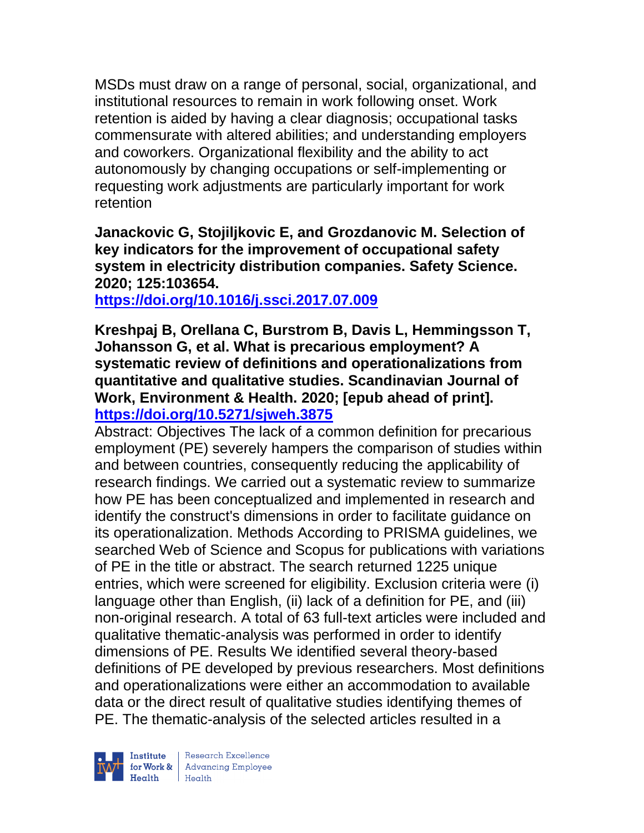MSDs must draw on a range of personal, social, organizational, and institutional resources to remain in work following onset. Work retention is aided by having a clear diagnosis; occupational tasks commensurate with altered abilities; and understanding employers and coworkers. Organizational flexibility and the ability to act autonomously by changing occupations or self-implementing or requesting work adjustments are particularly important for work retention

**Janackovic G, Stojiljkovic E, and Grozdanovic M. Selection of key indicators for the improvement of occupational safety system in electricity distribution companies. Safety Science. 2020; 125:103654.**

**<https://doi.org/10.1016/j.ssci.2017.07.009>** 

**Kreshpaj B, Orellana C, Burstrom B, Davis L, Hemmingsson T, Johansson G, et al. What is precarious employment? A systematic review of definitions and operationalizations from quantitative and qualitative studies. Scandinavian Journal of Work, Environment & Health. 2020; [epub ahead of print]. <https://doi.org/10.5271/sjweh.3875>** 

Abstract: Objectives The lack of a common definition for precarious employment (PE) severely hampers the comparison of studies within and between countries, consequently reducing the applicability of research findings. We carried out a systematic review to summarize how PE has been conceptualized and implemented in research and identify the construct's dimensions in order to facilitate guidance on its operationalization. Methods According to PRISMA guidelines, we searched Web of Science and Scopus for publications with variations of PE in the title or abstract. The search returned 1225 unique entries, which were screened for eligibility. Exclusion criteria were (i) language other than English, (ii) lack of a definition for PE, and (iii) non-original research. A total of 63 full-text articles were included and qualitative thematic-analysis was performed in order to identify dimensions of PE. Results We identified several theory-based definitions of PE developed by previous researchers. Most definitions and operationalizations were either an accommodation to available data or the direct result of qualitative studies identifying themes of PE. The thematic-analysis of the selected articles resulted in a



| Research Excellence for Work & Advancing Employee<br>Health Health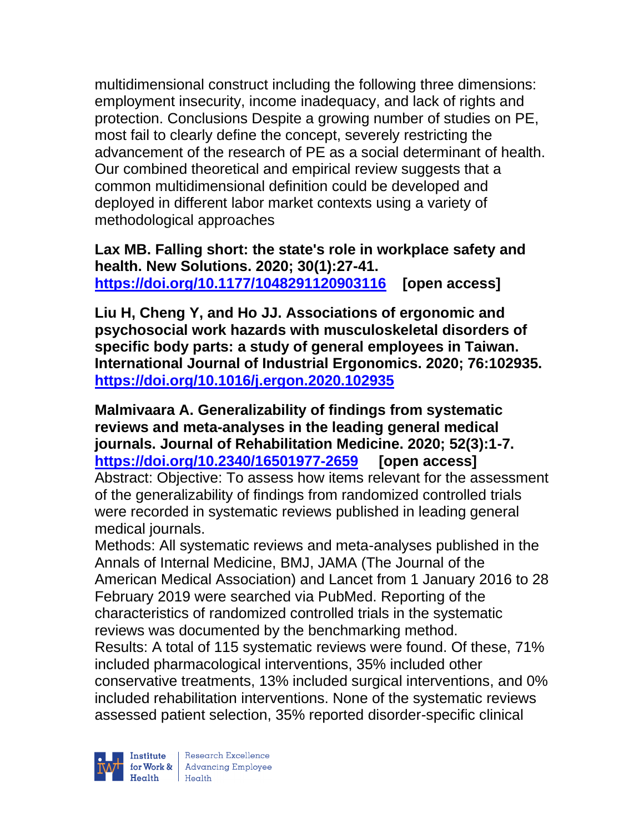multidimensional construct including the following three dimensions: employment insecurity, income inadequacy, and lack of rights and protection. Conclusions Despite a growing number of studies on PE, most fail to clearly define the concept, severely restricting the advancement of the research of PE as a social determinant of health. Our combined theoretical and empirical review suggests that a common multidimensional definition could be developed and deployed in different labor market contexts using a variety of methodological approaches

**Lax MB. Falling short: the state's role in workplace safety and health. New Solutions. 2020; 30(1):27-41. <https://doi.org/10.1177/1048291120903116> [open access]** 

**Liu H, Cheng Y, and Ho JJ. Associations of ergonomic and psychosocial work hazards with musculoskeletal disorders of specific body parts: a study of general employees in Taiwan. International Journal of Industrial Ergonomics. 2020; 76:102935. <https://doi.org/10.1016/j.ergon.2020.102935>** 

**Malmivaara A. Generalizability of findings from systematic reviews and meta-analyses in the leading general medical journals. Journal of Rehabilitation Medicine. 2020; 52(3):1-7. <https://doi.org/10.2340/16501977-2659> [open access]** Abstract: Objective: To assess how items relevant for the assessment of the generalizability of findings from randomized controlled trials were recorded in systematic reviews published in leading general medical journals.

Methods: All systematic reviews and meta-analyses published in the Annals of Internal Medicine, BMJ, JAMA (The Journal of the American Medical Association) and Lancet from 1 January 2016 to 28 February 2019 were searched via PubMed. Reporting of the characteristics of randomized controlled trials in the systematic reviews was documented by the benchmarking method. Results: A total of 115 systematic reviews were found. Of these, 71% included pharmacological interventions, 35% included other conservative treatments, 13% included surgical interventions, and 0% included rehabilitation interventions. None of the systematic reviews assessed patient selection, 35% reported disorder-specific clinical

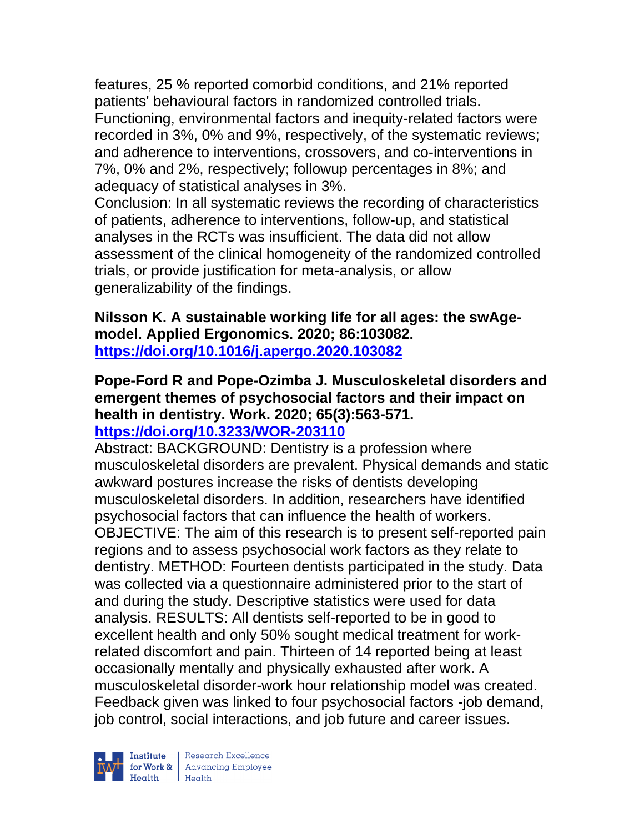features, 25 % reported comorbid conditions, and 21% reported patients' behavioural factors in randomized controlled trials. Functioning, environmental factors and inequity-related factors were recorded in 3%, 0% and 9%, respectively, of the systematic reviews; and adherence to interventions, crossovers, and co-interventions in 7%, 0% and 2%, respectively; followup percentages in 8%; and adequacy of statistical analyses in 3%.

Conclusion: In all systematic reviews the recording of characteristics of patients, adherence to interventions, follow-up, and statistical analyses in the RCTs was insufficient. The data did not allow assessment of the clinical homogeneity of the randomized controlled trials, or provide justification for meta-analysis, or allow generalizability of the findings.

**Nilsson K. A sustainable working life for all ages: the swAgemodel. Applied Ergonomics. 2020; 86:103082. <https://doi.org/10.1016/j.apergo.2020.103082>** 

#### **Pope-Ford R and Pope-Ozimba J. Musculoskeletal disorders and emergent themes of psychosocial factors and their impact on health in dentistry. Work. 2020; 65(3):563-571. <https://doi.org/10.3233/WOR-203110>**

Abstract: BACKGROUND: Dentistry is a profession where musculoskeletal disorders are prevalent. Physical demands and static awkward postures increase the risks of dentists developing musculoskeletal disorders. In addition, researchers have identified psychosocial factors that can influence the health of workers. OBJECTIVE: The aim of this research is to present self-reported pain regions and to assess psychosocial work factors as they relate to dentistry. METHOD: Fourteen dentists participated in the study. Data was collected via a questionnaire administered prior to the start of and during the study. Descriptive statistics were used for data analysis. RESULTS: All dentists self-reported to be in good to excellent health and only 50% sought medical treatment for workrelated discomfort and pain. Thirteen of 14 reported being at least occasionally mentally and physically exhausted after work. A musculoskeletal disorder-work hour relationship model was created. Feedback given was linked to four psychosocial factors -job demand, job control, social interactions, and job future and career issues.

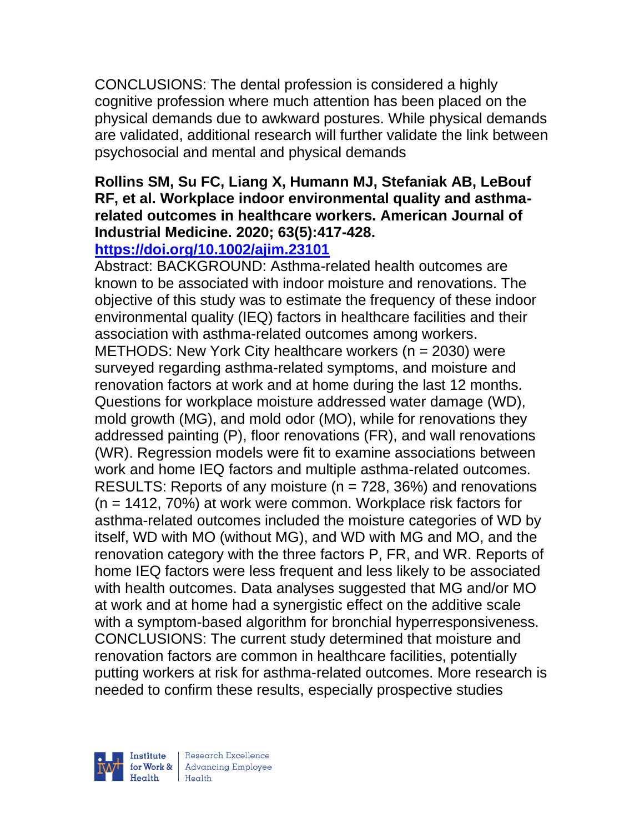CONCLUSIONS: The dental profession is considered a highly cognitive profession where much attention has been placed on the physical demands due to awkward postures. While physical demands are validated, additional research will further validate the link between psychosocial and mental and physical demands

## **Rollins SM, Su FC, Liang X, Humann MJ, Stefaniak AB, LeBouf RF, et al. Workplace indoor environmental quality and asthmarelated outcomes in healthcare workers. American Journal of Industrial Medicine. 2020; 63(5):417-428.**

# **<https://doi.org/10.1002/ajim.23101>**

Abstract: BACKGROUND: Asthma-related health outcomes are known to be associated with indoor moisture and renovations. The objective of this study was to estimate the frequency of these indoor environmental quality (IEQ) factors in healthcare facilities and their association with asthma-related outcomes among workers. METHODS: New York City healthcare workers (n = 2030) were surveyed regarding asthma-related symptoms, and moisture and renovation factors at work and at home during the last 12 months. Questions for workplace moisture addressed water damage (WD), mold growth (MG), and mold odor (MO), while for renovations they addressed painting (P), floor renovations (FR), and wall renovations (WR). Regression models were fit to examine associations between work and home IEQ factors and multiple asthma-related outcomes. RESULTS: Reports of any moisture ( $n = 728$ , 36%) and renovations (n = 1412, 70%) at work were common. Workplace risk factors for asthma-related outcomes included the moisture categories of WD by itself, WD with MO (without MG), and WD with MG and MO, and the renovation category with the three factors P, FR, and WR. Reports of home IEQ factors were less frequent and less likely to be associated with health outcomes. Data analyses suggested that MG and/or MO at work and at home had a synergistic effect on the additive scale with a symptom-based algorithm for bronchial hyperresponsiveness. CONCLUSIONS: The current study determined that moisture and renovation factors are common in healthcare facilities, potentially putting workers at risk for asthma-related outcomes. More research is needed to confirm these results, especially prospective studies

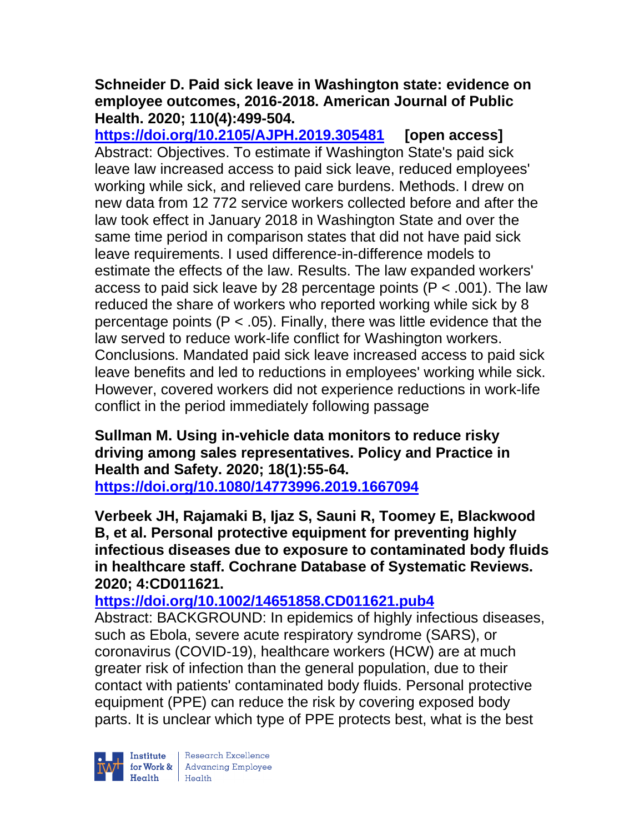### **Schneider D. Paid sick leave in Washington state: evidence on employee outcomes, 2016-2018. American Journal of Public Health. 2020; 110(4):499-504.**

**<https://doi.org/10.2105/AJPH.2019.305481> [open access]** Abstract: Objectives. To estimate if Washington State's paid sick leave law increased access to paid sick leave, reduced employees' working while sick, and relieved care burdens. Methods. I drew on new data from 12 772 service workers collected before and after the law took effect in January 2018 in Washington State and over the same time period in comparison states that did not have paid sick leave requirements. I used difference-in-difference models to estimate the effects of the law. Results. The law expanded workers' access to paid sick leave by 28 percentage points (P < .001). The law reduced the share of workers who reported working while sick by 8 percentage points ( $P < .05$ ). Finally, there was little evidence that the law served to reduce work-life conflict for Washington workers. Conclusions. Mandated paid sick leave increased access to paid sick leave benefits and led to reductions in employees' working while sick. However, covered workers did not experience reductions in work-life conflict in the period immediately following passage

### **Sullman M. Using in-vehicle data monitors to reduce risky driving among sales representatives. Policy and Practice in Health and Safety. 2020; 18(1):55-64. <https://doi.org/10.1080/14773996.2019.1667094>**

**Verbeek JH, Rajamaki B, Ijaz S, Sauni R, Toomey E, Blackwood B, et al. Personal protective equipment for preventing highly infectious diseases due to exposure to contaminated body fluids in healthcare staff. Cochrane Database of Systematic Reviews. 2020; 4:CD011621.**

# **<https://doi.org/10.1002/14651858.CD011621.pub4>**

Abstract: BACKGROUND: In epidemics of highly infectious diseases, such as Ebola, severe acute respiratory syndrome (SARS), or coronavirus (COVID-19), healthcare workers (HCW) are at much greater risk of infection than the general population, due to their contact with patients' contaminated body fluids. Personal protective equipment (PPE) can reduce the risk by covering exposed body parts. It is unclear which type of PPE protects best, what is the best



| Research Excellence for Work & Advancing Employee<br>Health Health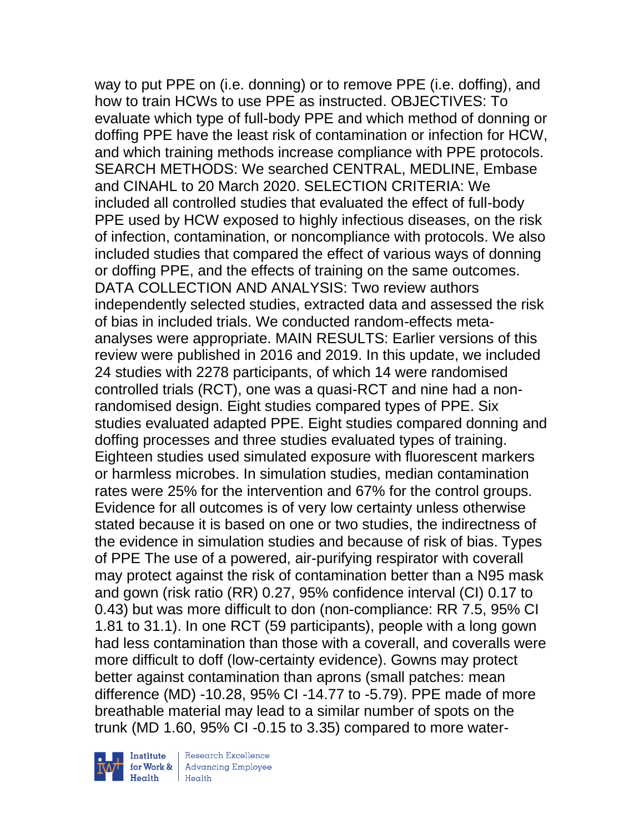way to put PPE on (i.e. donning) or to remove PPE (i.e. doffing), and how to train HCWs to use PPE as instructed. OBJECTIVES: To evaluate which type of full-body PPE and which method of donning or doffing PPE have the least risk of contamination or infection for HCW, and which training methods increase compliance with PPE protocols. SEARCH METHODS: We searched CENTRAL, MEDLINE, Embase and CINAHL to 20 March 2020. SELECTION CRITERIA: We included all controlled studies that evaluated the effect of full-body PPE used by HCW exposed to highly infectious diseases, on the risk of infection, contamination, or noncompliance with protocols. We also included studies that compared the effect of various ways of donning or doffing PPE, and the effects of training on the same outcomes. DATA COLLECTION AND ANALYSIS: Two review authors independently selected studies, extracted data and assessed the risk of bias in included trials. We conducted random-effects metaanalyses were appropriate. MAIN RESULTS: Earlier versions of this review were published in 2016 and 2019. In this update, we included 24 studies with 2278 participants, of which 14 were randomised controlled trials (RCT), one was a quasi-RCT and nine had a nonrandomised design. Eight studies compared types of PPE. Six studies evaluated adapted PPE. Eight studies compared donning and doffing processes and three studies evaluated types of training. Eighteen studies used simulated exposure with fluorescent markers or harmless microbes. In simulation studies, median contamination rates were 25% for the intervention and 67% for the control groups. Evidence for all outcomes is of very low certainty unless otherwise stated because it is based on one or two studies, the indirectness of the evidence in simulation studies and because of risk of bias. Types of PPE The use of a powered, air-purifying respirator with coverall may protect against the risk of contamination better than a N95 mask and gown (risk ratio (RR) 0.27, 95% confidence interval (CI) 0.17 to 0.43) but was more difficult to don (non-compliance: RR 7.5, 95% CI 1.81 to 31.1). In one RCT (59 participants), people with a long gown had less contamination than those with a coverall, and coveralls were more difficult to doff (low-certainty evidence). Gowns may protect better against contamination than aprons (small patches: mean difference (MD) -10.28, 95% CI -14.77 to -5.79). PPE made of more breathable material may lead to a similar number of spots on the trunk (MD 1.60, 95% CI -0.15 to 3.35) compared to more water-



Research Excellence for Work & Advancing Employee<br>Health Health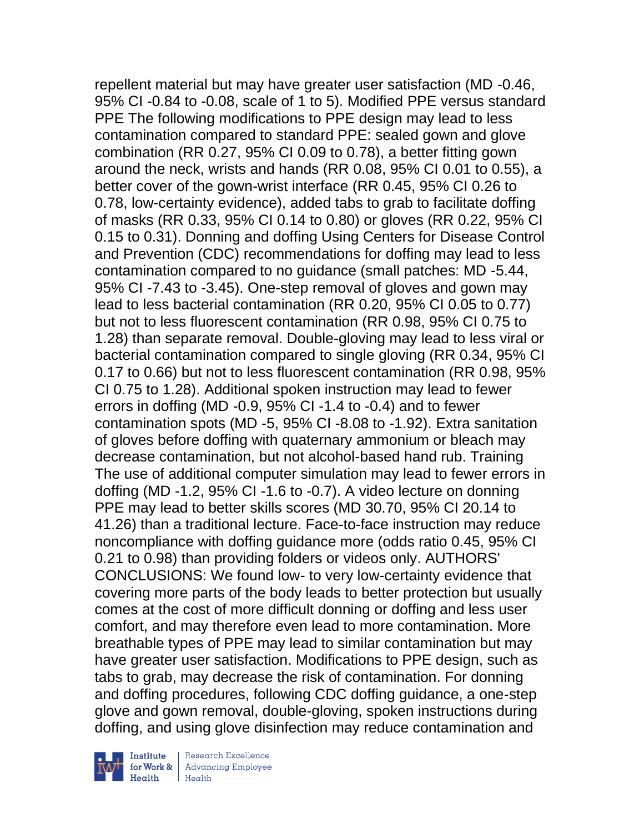repellent material but may have greater user satisfaction (MD -0.46, 95% CI -0.84 to -0.08, scale of 1 to 5). Modified PPE versus standard PPE The following modifications to PPE design may lead to less contamination compared to standard PPE: sealed gown and glove combination (RR 0.27, 95% CI 0.09 to 0.78), a better fitting gown around the neck, wrists and hands (RR 0.08, 95% CI 0.01 to 0.55), a better cover of the gown-wrist interface (RR 0.45, 95% CI 0.26 to 0.78, low-certainty evidence), added tabs to grab to facilitate doffing of masks (RR 0.33, 95% CI 0.14 to 0.80) or gloves (RR 0.22, 95% CI 0.15 to 0.31). Donning and doffing Using Centers for Disease Control and Prevention (CDC) recommendations for doffing may lead to less contamination compared to no guidance (small patches: MD -5.44, 95% CI -7.43 to -3.45). One-step removal of gloves and gown may lead to less bacterial contamination (RR 0.20, 95% CI 0.05 to 0.77) but not to less fluorescent contamination (RR 0.98, 95% CI 0.75 to 1.28) than separate removal. Double-gloving may lead to less viral or bacterial contamination compared to single gloving (RR 0.34, 95% CI 0.17 to 0.66) but not to less fluorescent contamination (RR 0.98, 95% CI 0.75 to 1.28). Additional spoken instruction may lead to fewer errors in doffing (MD -0.9, 95% CI -1.4 to -0.4) and to fewer contamination spots (MD -5, 95% CI -8.08 to -1.92). Extra sanitation of gloves before doffing with quaternary ammonium or bleach may decrease contamination, but not alcohol-based hand rub. Training The use of additional computer simulation may lead to fewer errors in doffing (MD -1.2, 95% CI -1.6 to -0.7). A video lecture on donning PPE may lead to better skills scores (MD 30.70, 95% CI 20.14 to 41.26) than a traditional lecture. Face-to-face instruction may reduce noncompliance with doffing guidance more (odds ratio 0.45, 95% CI 0.21 to 0.98) than providing folders or videos only. AUTHORS' CONCLUSIONS: We found low- to very low-certainty evidence that covering more parts of the body leads to better protection but usually comes at the cost of more difficult donning or doffing and less user comfort, and may therefore even lead to more contamination. More breathable types of PPE may lead to similar contamination but may have greater user satisfaction. Modifications to PPE design, such as tabs to grab, may decrease the risk of contamination. For donning and doffing procedures, following CDC doffing guidance, a one-step glove and gown removal, double-gloving, spoken instructions during doffing, and using glove disinfection may reduce contamination and



Research Excellence for Work & | Advancing Employee  $H_{\text{each}}$